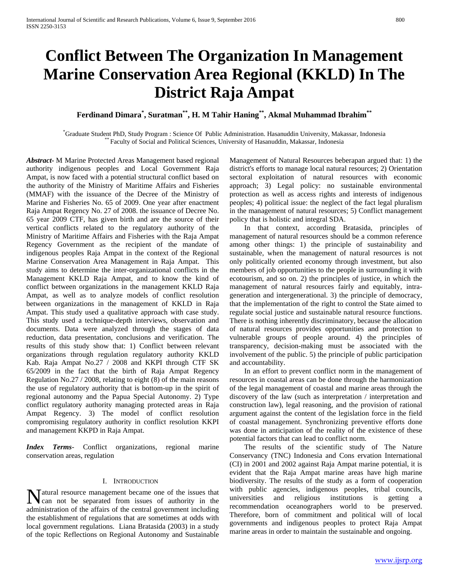# **Conflict Between The Organization In Management Marine Conservation Area Regional (KKLD) In The District Raja Ampat**

# **Ferdinand Dimara\* , Suratman\*\*, H. M Tahir Haning\*\*, Akmal Muhammad Ibrahim\*\***

\* Graduate Student PhD, Study Program : Science Of Public Administration. Hasanuddin University, Makassar, Indonesia \*\* Faculty of Social and Political Sciences, University of Hasanuddin, Makassar, Indonesia

*Abstract***-** M Marine Protected Areas Management based regional authority indigenous peoples and Local Government Raja Ampat, is now faced with a potential structural conflict based on the authority of the Ministry of Maritime Affairs and Fisheries (MMAF) with the issuance of the Decree of the Ministry of Marine and Fisheries No. 65 of 2009. One year after enactment Raja Ampat Regency No. 27 of 2008. the issuance of Decree No. 65 year 2009 CTF, has given birth and are the source of their vertical conflicts related to the regulatory authority of the Ministry of Maritime Affairs and Fisheries with the Raja Ampat Regency Government as the recipient of the mandate of indigenous peoples Raja Ampat in the context of the Regional Marine Conservation Area Management in Raja Ampat. This study aims to determine the inter-organizational conflicts in the Management KKLD Raja Ampat, and to know the kind of conflict between organizations in the management KKLD Raja Ampat, as well as to analyze models of conflict resolution between organizations in the management of KKLD in Raja Ampat. This study used a qualitative approach with case study. This study used a technique-depth interviews, observation and documents. Data were analyzed through the stages of data reduction, data presentation, conclusions and verification. The results of this study show that: 1) Conflict between relevant organizations through regulation regulatory authority KKLD Kab. Raja Ampat No.27 / 2008 and KKPI through CTF SK 65/2009 in the fact that the birth of Raja Ampat Regency Regulation No.27 / 2008, relating to eight (8) of the main reasons the use of regulatory authority that is bottom-up in the spirit of regional autonomy and the Papua Special Autonomy. 2) Type conflict regulatory authority managing protected areas in Raja Ampat Regency. 3) The model of conflict resolution compromising regulatory authority in conflict resolution KKPI and management KKPD in Raja Ampat.

*Index Terms*- Conflict organizations, regional marine conservation areas, regulation

### I. INTRODUCTION

Matural resource management became one of the issues that can not be separated from issues of authority in the can not be separated from issues of authority in the administration of the affairs of the central government including the establishment of regulations that are sometimes at odds with local government regulations. Liana Bratasida (2003) in a study of the topic Reflections on Regional Autonomy and Sustainable

Management of Natural Resources beberapan argued that: 1) the district's efforts to manage local natural resources; 2) Orientation sectoral exploitation of natural resources with economic approach; 3) Legal policy: no sustainable environmental protection as well as access rights and interests of indigenous peoples; 4) political issue: the neglect of the fact legal pluralism in the management of natural resources; 5) Conflict management policy that is holistic and integral SDA.

 In that context, according Bratasida, principles of management of natural resources should be a common reference among other things: 1) the principle of sustainability and sustainable, when the management of natural resources is not only politically oriented economy through investment, but also members of job opportunities to the people in surrounding it with ecotourism, and so on. 2) the principles of justice, in which the management of natural resources fairly and equitably, intrageneration and intergenerational. 3) the principle of democracy, that the implementation of the right to control the State aimed to regulate social justice and sustainable natural resource functions. There is nothing inherently discriminatory, because the allocation of natural resources provides opportunities and protection to vulnerable groups of people around. 4) the principles of transparency, decision-making must be associated with the involvement of the public. 5) the principle of public participation and accountability.

 In an effort to prevent conflict norm in the management of resources in coastal areas can be done through the harmonization of the legal management of coastal and marine areas through the discovery of the law (such as interpretation / interpretation and construction law), legal reasoning, and the provision of rational argument against the content of the legislation force in the field of coastal management. Synchronizing preventive efforts done was done in anticipation of the reality of the existence of these potential factors that can lead to conflict norm.

 The results of the scientific study of The Nature Conservancy (TNC) Indonesia and Cons ervation International (CI) in 2001 and 2002 against Raja Ampat marine potential, it is evident that the Raja Ampat marine areas have high marine biodiversity. The results of the study as a form of cooperation with public agencies, indigenous peoples, tribal councils, universities and religious institutions is getting a recommendation oceanographers world to be preserved. Therefore, born of commitment and political will of local governments and indigenous peoples to protect Raja Ampat marine areas in order to maintain the sustainable and ongoing.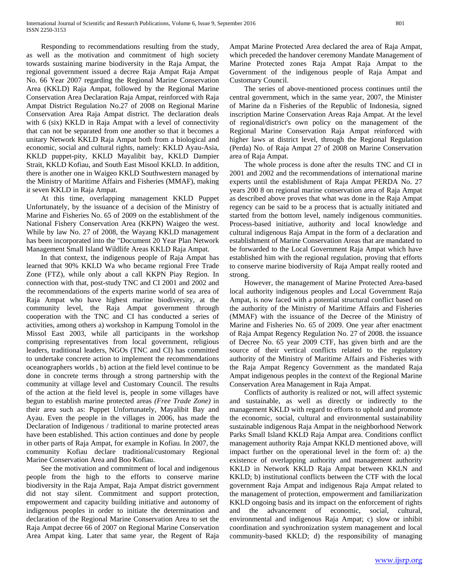Responding to recommendations resulting from the study, as well as the motivation and commitment of high society towards sustaining marine biodiversity in the Raja Ampat, the regional government issued a decree Raja Ampat Raja Ampat No. 66 Year 2007 regarding the Regional Marine Conservation Area (KKLD) Raja Ampat, followed by the Regional Marine Conservation Area Declaration Raja Ampat, reinforced with Raja Ampat District Regulation No.27 of 2008 on Regional Marine Conservation Area Raja Ampat district. The declaration deals with 6 (six) KKLD in Raja Ampat with a level of connectivity that can not be separated from one another so that it becomes a unitary Network KKLD Raja Ampat both from a biological and economic, social and cultural rights, namely: KKLD Ayau-Asia, KKLD puppet-pity, KKLD Mayalibit bay, KKLD Dampier Strait, KKLD Kofiau, and South East Misool KKLD. In addition, there is another one in Waigeo KKLD Southwestern managed by the Ministry of Maritime Affairs and Fisheries (MMAF), making it seven KKLD in Raja Ampat.

 At this time, overlapping management KKLD Puppet Unfortunately, by the issuance of a decision of the Ministry of Marine and Fisheries No. 65 of 2009 on the establishment of the National Fishery Conservation Area (KKPN) Waigeo the west. While by law No. 27 of 2008, the Wayang KKLD management has been incorporated into the "Document 20 Year Plan Network Management Small Island Wildlife Areas KKLD Raja Ampat.

 In that context, the indigenous people of Raja Ampat has learned that 90% KKLD Wa who became regional Free Trade Zone (FTZ), while only about a call KKPN Piay Region. In connection with that, post-study TNC and CI 2001 and 2002 and the recommendations of the experts marine world of sea area of Raja Ampat who have highest marine biodiversity, at the community level, the Raja Ampat government through cooperation with the TNC and CI has conducted a series of activities, among others a) workshop in Kampung Tomolol in the Missol East 2003, while all participants in the workshop comprising representatives from local government, religious leaders, traditional leaders, NGOs (TNC and CI) has committed to undertake concrete action to implement the recommendations oceanographers worlds , b) action at the field level continue to be done in concrete terms through a strong partnership with the community at village level and Customary Council. The results of the action at the field level is, people in some villages have begun to establish marine protected areas *(Free Trade Zone)* in their area such as: Puppet Unfortunately, Mayalibit Bay and Ayau. Even the people in the villages in 2006, has made the Declaration of Indigenous / traditional to marine protected areas have been established. This action continues and done by people in other parts of Raja Ampat, for example in Kofiau. In 2007, the community Kofiau declare traditional/customary Regional Marine Conservation Area and Boo Kofiau.

 See the motivation and commitment of local and indigenous people from the high to the efforts to conserve marine biodiversity in the Raja Ampat, Raja Ampat district government did not stay silent. Commitment and support protection, empowerment and capacity building initiative and autonomy of indigenous peoples in order to initiate the determination and declaration of the Regional Marine Conservation Area to set the Raja Ampat decree 66 of 2007 on Regional Marine Conservation Area Ampat king. Later that same year, the Regent of Raja

Ampat Marine Protected Area declared the area of Raja Ampat, which preceded the handover ceremony Mandate Management of Marine Protected zones Raja Ampat Raja Ampat to the Government of the indigenous people of Raja Ampat and Customary Council.

 The series of above-mentioned process continues until the central government, which in the same year, 2007, the Minister of Marine da n Fisheries of the Republic of Indonesia, signed inscription Marine Conservation Areas Raja Ampat. At the level of regional/district's own policy on the management of the Regional Marine Conservation Raja Ampat reinforced with higher laws at district level, through the Regional Regulation (Perda) No. of Raja Ampat 27 of 2008 on Marine Conservation area of Raja Ampat.

 The whole process is done after the results TNC and CI in 2001 and 2002 and the recommendations of international marine experts until the establishment of Raja Ampat PERDA No. 27 years 200 8 on regional marine conservation area of Raja Ampat as described above proves that what was done in the Raja Ampat regency can be said to be a process that is actually initiated and started from the bottom level, namely indigenous communities. Process-based initiative, authority and local knowledge and cultural indigenous Raja Ampat in the form of a declaration and establishment of Marine Conservation Areas that are mandated to be forwarded to the Local Government Raja Ampat which have established him with the regional regulation, proving that efforts to conserve marine biodiversity of Raja Ampat really rooted and strong.

 However, the management of Marine Protected Area-based local authority indigenous peoples and Local Government Raja Ampat, is now faced with a potential structural conflict based on the authority of the Ministry of Maritime Affairs and Fisheries (MMAF) with the issuance of the Decree of the Ministry of Marine and Fisheries No. 65 of 2009. One year after enactment of Raja Ampat Regency Regulation No. 27 of 2008. the issuance of Decree No. 65 year 2009 CTF, has given birth and are the source of their vertical conflicts related to the regulatory authority of the Ministry of Maritime Affairs and Fisheries with the Raja Ampat Regency Government as the mandated Raja Ampat indigenous peoples in the context of the Regional Marine Conservation Area Management in Raja Ampat.

 Conflicts of authority is realized or not, will affect systemic and sustainable, as well as directly or indirectly to the management KKLD with regard to efforts to uphold and promote the economic, social, cultural and environmental sustainability sustainable indigenous Raja Ampat in the neighborhood Network Parks Small Island KKLD Raja Ampat area. Conditions conflict management authority Raja Ampat KKLD mentioned above, will impact further on the operational level in the form of: a) the existence of overlapping authority and management authority KKLD in Network KKLD Raja Ampat between KKLN and KKLD; b) institutional conflicts between the CTF with the local government Raja Ampat and indigenous Raja Ampat related to the management of protection, empowerment and familiarization KKLD ongoing basis and its impact on the enforcement of rights and the advancement of economic, social, cultural, environmental and indigenous Raja Ampat; c) slow or inhibit coordination and synchronization system management and local community-based KKLD; d) the responsibility of managing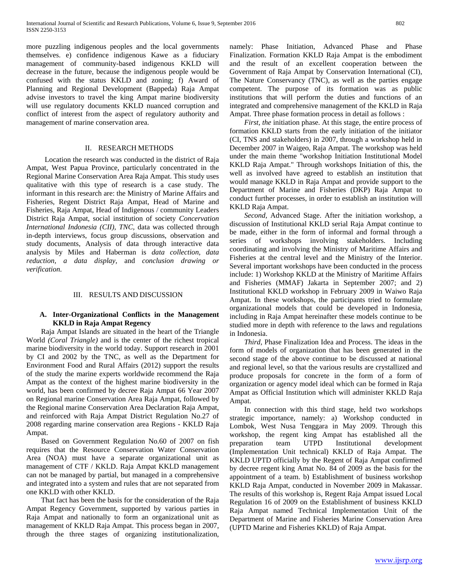more puzzling indigenous peoples and the local governments themselves. e) confidence indigenous Kawe as a fiduciary management of community-based indigenous KKLD will decrease in the future, because the indigenous people would be confused with the status KKLD and zoning; f) Award of Planning and Regional Development (Bappeda) Raja Ampat advise investors to travel the king Ampat marine biodiversity will use regulatory documents KKLD nuanced corruption and conflict of interest from the aspect of regulatory authority and management of marine conservation area.

### II. RESEARCH METHODS

 Location the research was conducted in the district of Raja Ampat, West Papua Province, particularly concentrated in the Regional Marine Conservation Area Raja Ampat. This study uses qualitative with this type of research is a case study. The informant in this research are: the Ministry of Marine Affairs and Fisheries, Regent District Raja Ampat, Head of Marine and Fisheries, Raja Ampat, Head of Indigenous / community Leaders District Raja Ampat, social institution of society *Concervation International Indonesia (CII), TNC,* data was collected through in-depth interviews, focus group discussions, observation and study documents, Analysis of data through interactive data analysis by Miles and Haberman is *data collection, data reduction, a data display,* and *conclusion drawing or verification.*

## III. RESULTS AND DISCUSSION

# **A. Inter-Organizational Conflicts in the Management KKLD in Raja Ampat Regency**

 Raja Ampat Islands are situated in the heart of the Triangle World *(Coral Triangle)* and is the center of the richest tropical marine biodiversity in the world today. Support research in 2001 by CI and 2002 by the TNC, as well as the Department for Environment Food and Rural Affairs (2012) support the results of the study the marine experts worldwide recommend the Raja Ampat as the context of the highest marine biodiversity in the world, has been confirmed by decree Raja Ampat 66 Year 2007 on Regional marine Conservation Area Raja Ampat, followed by the Regional marine Conservation Area Declaration Raja Ampat, and reinforced with Raja Ampat District Regulation No.27 of 2008 regarding marine conservation area Regions - KKLD Raja Ampat.

 Based on Government Regulation No.60 of 2007 on fish requires that the Resource Conservation Water Conservation Area (NOA) must have a separate organizational unit as management of CTF / KKLD. Raja Ampat KKLD management can not be managed by partial, but managed in a comprehensive and integrated into a system and rules that are not separated from one KKLD with other KKLD.

 That fact has been the basis for the consideration of the Raja Ampat Regency Government, supported by various parties in Raja Ampat and nationally to form an organizational unit as management of KKLD Raja Ampat. This process began in 2007, through the three stages of organizing institutionalization,

namely: Phase Initiation, Advanced Phase and Phase Finalization. Formation KKLD Raja Ampat is the embodiment and the result of an excellent cooperation between the Government of Raja Ampat by Conservation International (CI), The Nature Conservancy (TNC), as well as the parties engage competent. The purpose of its formation was as public institutions that will perform the duties and functions of an integrated and comprehensive management of the KKLD in Raja Ampat. Three phase formation process in detail as follows :

 *First, the* initiation phase. At this stage, the entire process of formation KKLD starts from the early initiation of the initiator (CI, TNS and stakeholders) in 2007, through a workshop held in December 2007 in Waigeo, Raja Ampat. The workshop was held under the main theme "workshop Initiation Institutional Model KKLD Raja Ampat." Through workshops Initiation of this, the well as involved have agreed to establish an institution that would manage KKLD in Raja Ampat and provide support to the Department of Marine and Fisheries (DKP) Raja Ampat to conduct further processes, in order to establish an institution will KKLD Raja Ampat.

 *Second,* Advanced Stage. After the initiation workshop, a discussion of Institutional KKLD serial Raja Ampat continue to be made, either in the form of informal and formal through a series of workshops involving stakeholders. Including coordinating and involving the Ministry of Maritime Affairs and Fisheries at the central level and the Ministry of the Interior. Several important workshops have been conducted in the process include: 1) Workshop KKLD at the Ministry of Maritime Affairs and Fisheries (MMAF) Jakarta in September 2007; and 2) Institutional KKLD workshop in February 2009 in Waiwo Raja Ampat. In these workshops, the participants tried to formulate organizational models that could be developed in Indonesia, including in Raja Ampat hereinafter these models continue to be studied more in depth with reference to the laws and regulations in Indonesia.

 *Third,* Phase Finalization Idea and Process. The ideas in the form of models of organization that has been generated in the second stage of the above continue to be discussed at national and regional level, so that the various results are crystallized and produce proposals for concrete in the form of a form of organization or agency model ideal which can be formed in Raja Ampat as Official Institution which will administer KKLD Raja Ampat.

 In connection with this third stage, held two workshops strategic importance, namely: a) Workshop conducted in Lombok, West Nusa Tenggara in May 2009. Through this workshop, the regent king Ampat has established all the preparation team UTPD Institutional development (Implementation Unit technical) KKLD of Raja Ampat. The KKLD UPTD officially by the Regent of Raja Ampat confirmed by decree regent king Amat No. 84 of 2009 as the basis for the appointment of a team. b) Establishment of business workshop KKLD Raja Ampat, conducted in November 2009 in Makassar. The results of this workshop is, Regent Raja Ampat issued Local Regulation 16 of 2009 on the Establishment of business KKLD Raja Ampat named Technical Implementation Unit of the Department of Marine and Fisheries Marine Conservation Area (UPTD Marine and Fisheries KKLD) of Raja Ampat.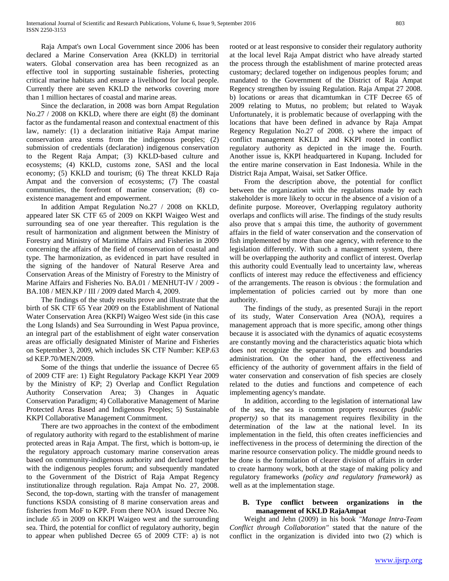Raja Ampat's own Local Government since 2006 has been declared a Marine Conservation Area (KKLD) in territorial waters. Global conservation area has been recognized as an effective tool in supporting sustainable fisheries, protecting critical marine habitats and ensure a livelihood for local people. Currently there are seven KKLD the networks covering more than 1 million hectares of coastal and marine areas.

 Since the declaration, in 2008 was born Ampat Regulation No.27 / 2008 on KKLD, where there are eight (8) the dominant factor as the fundamental reason and contextual enactment of this law, namely: (1) a declaration initiative Raja Ampat marine conservation area stems from the indigenous peoples; (2) submission of credentials (declaration) indigenous conservation to the Regent Raja Ampat; (3) KKLD-based culture and ecosystems; (4) KKLD, customs zone, SASI and the local economy; (5) KKLD and tourism; (6) The threat KKLD Raja Ampat and the conversion of ecosystems; (7) The coastal communities, the forefront of marine conservation; (8) coexistence management and empowerment.

 In addition Ampat Regulation No.27 / 2008 on KKLD, appeared later SK CTF 65 of 2009 on KKPI Waigeo West and surrounding sea of one year thereafter. This regulation is the result of harmonization and alignment between the Ministry of Forestry and Ministry of Maritime Affairs and Fisheries in 2009 concerning the affairs of the field of conservation of coastal and type. The harmonization, as evidenced in part have resulted in the signing of the handover of Natural Reserve Area and Conservation Areas of the Ministry of Forestry to the Ministry of Marine Affairs and Fisheries No. BA.01 / MENHUT-IV / 2009 - BA.108 / MEN.KP / III / 2009 dated March 4, 2009.

 The findings of the study results prove and illustrate that the birth of SK CTF 65 Year 2009 on the Establishment of National Water Conservation Area (KKPI) Waigeo West side (in this case the Long Islands) and Sea Surrounding in West Papua province, an integral part of the establishment of eight water conservation areas are officially designated Minister of Marine and Fisheries on September 3, 2009, which includes SK CTF Number: KEP.63 sd KEP.70/MEN/2009.

 Some of the things that underlie the issuance of Decree 65 of 2009 CTF are: 1) Eight Regulatory Package KKPI Year 2009 by the Ministry of KP; 2) Overlap and Conflict Regulation Authority Conservation Area; 3) Changes in Aquatic Conservation Paradigm; 4) Collaborative Management of Marine Protected Areas Based and Indigenous Peoples; 5) Sustainable KKPI Collaborative Management Commitment.

 There are two approaches in the context of the embodiment of regulatory authority with regard to the establishment of marine protected areas in Raja Ampat. The first, which is bottom-up, ie the regulatory approach customary marine conservation areas based on community-indigenous authority and declared together with the indigenous peoples forum; and subsequently mandated to the Government of the District of Raja Ampat Regency institutionalize through regulation. Raja Ampat No. 27, 2008. Second, the top-down, starting with the transfer of management functions KSDA consisting of 8 marine conservation areas and fisheries from MoF to KPP. From there NOA issued Decree No. include .65 in 2009 on KKPI Waigeo west and the surrounding sea. Third, the potential for conflict of regulatory authority, begin to appear when published Decree 65 of 2009 CTF: a) is not rooted or at least responsive to consider their regulatory authority at the local level Raja Ampat district who have already started the process through the establishment of marine protected areas customary; declared together on indigenous peoples forum; and mandated to the Government of the District of Raja Ampat Regency strengthen by issuing Regulation. Raja Ampat 27 2008. b) locations or areas that dicamtumkan in CTF Decree 65 of 2009 relating to Mutus, no problem; but related to Wayak Unfortunately, it is problematic because of overlapping with the locations that have been defined in advance by Raja Ampat Regency Regulation No.27 of 2008. c) where the impact of conflict management KKLD and KKPI rooted in conflict regulatory authority as depicted in the image the. Fourth. Another issue is, KKPI headquartered in Kupang. Included for the entire marine conservation in East Indonesia. While in the District Raja Ampat, Waisai, set Satker Office.

 From the description above, the potential for conflict between the organization with the regulations made by each stakeholder is more likely to occur in the absence of a vision of a definite purpose. Moreover, Overlapping regulatory authority overlaps and conflicts will arise. The findings of the study results also prove that s ampai this time, the authority of government affairs in the field of water conservation and the conservation of fish implemented by more than one agency, with reference to the legislation differently. With such a management system, there will be overlapping the authority and conflict of interest. Overlap this authority could Eventually lead to uncertainty law, whereas conflicts of interest may reduce the effectiveness and efficiency of the arrangements. The reason is obvious : the formulation and implementation of policies carried out by more than one authority.

 The findings of the study, as presented Suraji in the report of its study, Water Conservation Area (NOA), requires a management approach that is more specific, among other things because it is associated with the dynamics of aquatic ecosystems are constantly moving and the characteristics aquatic biota which does not recognize the separation of powers and boundaries administration. On the other hand, the effectiveness and efficiency of the authority of government affairs in the field of water conservation and conservation of fish species are closely related to the duties and functions and competence of each implementing agency's mandate.

 In addition, according to the legislation of international law of the sea, the sea is common property resources *(public property)* so that its management requires flexibility in the determination of the law at the national level. In its implementation in the field, this often creates inefficiencies and ineffectiveness in the process of determining the direction of the marine resource conservation policy. The middle ground needs to be done is the formulation of clearer division of affairs in order to create harmony work, both at the stage of making policy and regulatory frameworks *(policy and regulatory framework)* as well as at the implementation stage.

# **B. Type conflict between organizations in the management of KKLD RajaAmpat**

 Weight and Jehn (2009) in his book *"Manage Intra-Team Conflict through Collaboration"* stated that the nature of the conflict in the organization is divided into two (2) which is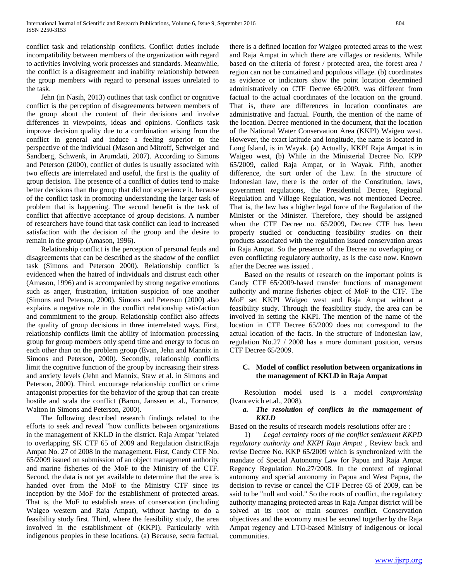conflict task and relationship conflicts. Conflict duties include incompatibility between members of the organization with regard to activities involving work processes and standards. Meanwhile, the conflict is a disagreement and inability relationship between the group members with regard to personal issues unrelated to the task.

 Jehn (in Nasih, 2013) outlines that task conflict or cognitive conflict is the perception of disagreements between members of the group about the content of their decisions and involve differences in viewpoints, ideas and opinions. Conflicts task improve decision quality due to a combination arising from the conflict in general and induce a feeling superior to the perspective of the individual (Mason and Mitroff, Schweiger and Sandberg, Schwenk, in Arumdati, 2007). According to Simons and Peterson (2000), conflict of duties is usually associated with two effects are interrelated and useful, the first is the quality of group decision. The presence of a conflict of duties tend to make better decisions than the group that did not experience it, because of the conflict task in promoting understanding the larger task of problem that is happening. The second benefit is the task of conflict that affective acceptance of group decisions. A number of researchers have found that task conflict can lead to increased satisfaction with the decision of the group and the desire to remain in the group (Amason, 1996).

 Relationship conflict is the perception of personal feuds and disagreements that can be described as the shadow of the conflict task (Simons and Peterson 2000). Relationship conflict is evidenced when the hatred of individuals and distrust each other (Amason, 1996) and is accompanied by strong negative emotions such as anger, frustration, irritation suspicion of one another (Simons and Peterson, 2000). Simons and Peterson (2000) also explains a negative role in the conflict relationship satisfaction and commitment to the group. Relationship conflict also affects the quality of group decisions in three interrelated ways. First, relationship conflicts limit the ability of information processing group for group members only spend time and energy to focus on each other than on the problem group (Evan, Jehn and Mannix in Simons and Peterson, 2000). Secondly, relationship conflicts limit the cognitive function of the group by increasing their stress and anxiety levels (Jehn and Mannix, Staw et al. in Simons and Peterson, 2000). Third, encourage relationship conflict or crime antagonist properties for the behavior of the group that can create hostile and scala the conflict (Baron, Janssen et al., Torrance, Walton in Simons and Peterson, 2000).

 The following described research findings related to the efforts to seek and reveal "how conflicts between organizations in the management of KKLD in the district. Raja Ampat "related to overlapping SK CTF 65 of 2009 and Regulation districtRaja Ampat No. 27 of 2008 in the management. First, Candy CTF No. 65/2009 issued on submission of an object management authority and marine fisheries of the MoF to the Ministry of the CTF. Second, the data is not yet available to determine that the area is handed over from the MoF to the Ministry CTF since its inception by the MoF for the establishment of protected areas. That is, the MoF to establish areas of conservation (including Waigeo western and Raja Ampat), without having to do a feasibility study first. Third, where the feasibility study, the area involved in the establishment of (KKPI). Particularly with indigenous peoples in these locations. (a) Because, secra factual,

there is a defined location for Waigeo protected areas to the west and Raja Ampat in which there are villages or residents. While based on the criteria of forest / protected area, the forest area / region can not be contained and populous village. (b) coordinates as evidence or indicators show the point location determined administratively on CTF Decree 65/2009, was different from factual to the actual coordinates of the location on the ground. That is, there are differences in location coordinates are administrative and factual. Fourth, the mention of the name of the location. Decree mentioned in the document, that the location of the National Water Conservation Area (KKPI) Waigeo west. However, the exact latitude and longitude, the name is located in Long Island, is in Wayak. (a) Actually, KKPI Raja Ampat is in Waigeo west, (b) While in the Ministerial Decree No. KPP 65/2009, called Raja Ampat, or in Wayak. Fifth, another difference, the sort order of the Law. In the structure of Indonesian law, there is the order of the Constitution, laws, government regulations, the Presidential Decree, Regional Regulation and Village Regulation, was not mentioned Decree. That is, the law has a higher legal force of the Regulation of the Minister or the Minister. Therefore, they should be assigned when the CTF Decree no. 65/2009, Decree CTF has been properly studied or conducting feasibility studies on their products associated with the regulation issued conservation areas in Raja Ampat. So the presence of the Decree no overlapping or even conflicting regulatory authority, as is the case now. Known after the Decree was issued .

 Based on the results of research on the important points is Candy CTF 65/2009-based transfer functions of management authority and marine fisheries object of MoF to the CTF. The MoF set KKPI Waigeo west and Raja Ampat without a feasibility study. Through the feasibility study, the area can be involved in setting the KKPI. The mention of the name of the location in CTF Decree 65/2009 does not correspond to the actual location of the facts. In the structure of Indonesian law, regulation No.27 / 2008 has a more dominant position, versus CTF Decree 65/2009.

# **C. Model of conflict resolution between organizations in the management of KKLD in Raja Ampat**

 Resolution model used is a model *compromising*  (Ivancevich et.al., 2008).

# *a. The resolution of conflicts in the management of KKLD*

Based on the results of research models resolutions offer are :

 1) *Legal certainty roots of the conflict settlement KKPD regulatory authority and KKPI Raja Ampat* , Review back and revise Decree No. KKP 65/2009 which is synchronized with the mandate of Special Autonomy Law for Papua and Raja Ampat Regency Regulation No.27/2008. In the context of regional autonomy and special autonomy in Papua and West Papua, the decision to revise or cancel the CTF Decree 65 of 2009, can be said to be "null and void." So the roots of conflict, the regulatory authority managing protected areas in Raja Ampat district will be solved at its root or main sources conflict. Conservation objectives and the economy must be secured together by the Raja Ampat regency and LTO-based Ministry of indigenous or local communities.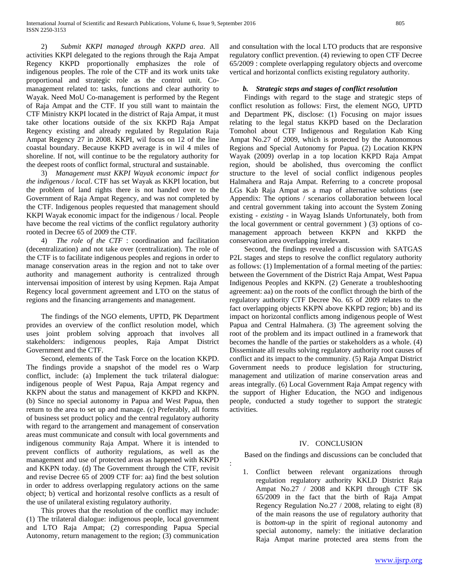2) *Submit KKPI managed through KKPD area*. All activities KKPI delegated to the regions through the Raja Ampat Regency KKPD proportionally emphasizes the role of indigenous peoples. The role of the CTF and its work units take proportional and strategic role as the control unit. Comanagement related to: tasks, functions and clear authority to Wayak. Need MoU Co-management is performed by the Regent of Raja Ampat and the CTF. If you still want to maintain the CTF Ministry KKPI located in the district of Raja Ampat, it must take other locations outside of the six KKPD Raja Ampat Regency existing and already regulated by Regulation Raja Ampat Regency 27 in 2008. KKPI, wil focus on 12 of the line coastal boundary. Because KKPD average is in wil 4 miles of shoreline. If not, will continue to be the regulatory authority for the deepest roots of conflict formal, structural and sustainable.

 3) *Management must KKPI Wayak economic impact for the indigenous / local*. CTF has set Wayak as KKPI location, but the problem of land rights there is not handed over to the Government of Raja Ampat Regency, and was not completed by the CTF. Indigenous peoples requested that management should KKPI Wayak economic impact for the indigenous / local. People have become the real victims of the conflict regulatory authority rooted in Decree 65 of 2009 the CTF.

 4) *The role of the CTF* : coordination and facilitation (decentralization) and not take over (centralization). The role of the CTF is to facilitate indigenous peoples and regions in order to manage conservation areas in the region and not to take over authority and management authority is centralized through intervensai imposition of interest by using Kepmen. Raja Ampat Regency local government agreement and LTO on the status of regions and the financing arrangements and management.

 The findings of the NGO elements, UPTD, PK Department provides an overview of the conflict resolution model, which uses joint problem solving approach that involves all stakeholders: indigenous peoples, Raja Ampat District Government and the CTF.

 Second, elements of the Task Force on the location KKPD. The findings provide a snapshot of the model res o Warp conflict, include: (a) Implement the tuck trilateral dialogue: indigenous people of West Papua, Raja Ampat regency and KKPN about the status and management of KKPD and KKPN. (b) Since no special autonomy in Papua and West Papua, then return to the area to set up and manage. (c) Preferably, all forms of business set product policy and the central regulatory authority with regard to the arrangement and management of conservation areas must communicate and consult with local governments and indigenous community Raja Ampat. Where it is intended to prevent conflicts of authority regulations, as well as the management and use of protected areas as happened with KKPD and KKPN today. (d) The Government through the CTF, revisit and revise Decree 65 of 2009 CTF for: aa) find the best solution in order to address overlapping regulatory actions on the same object; b) vertical and horizontal resolve conflicts as a result of the use of unilateral existing regulatory authority.

 This proves that the resolution of the conflict may include: (1) The trilateral dialogue: indigenous people, local government and LTO Raja Ampat; (2) corresponding Papua Special Autonomy, return management to the region; (3) communication and consultation with the local LTO products that are responsive regulatory conflict prevention. (4) reviewing to open CTF Decree 65/2009 : complete overlapping regulatory objects and overcome vertical and horizontal conflicts existing regulatory authority.

# *b. Strategic steps and stages of conflict resolution*

 Findings with regard to the stage and strategic steps of conflict resolution as follows: First, the element NGO, UPTD and Department PK, disclose: (1) Focusing on major issues relating to the legal status KKPD based on the Declaration Tomohol about CTF Indigenous and Regulation Kab King Ampat No.27 of 2009, which is protected by the Autonomous Regions and Special Autonomy for Papua. (2) Location KKPN Wayak (2009) overlap in a top location KKPD Raja Ampat region, should be abolished, thus overcoming the conflict structure to the level of social conflict indigenous peoples Halmahera and Raja Ampat. Referring to a concrete proposal LGs Kab Raja Ampat as a map of alternative solutions (see Appendix: The options / scenarios collaboration between local and central government taking into account the System Zoning existing - *existing* - in Wayag Islands Unfortunately, both from the local government or central government ) (3) options of comanagement approach between KKPN and KKPD the conservation area overlapping irrelevant.

 Second, the findings revealed a discussion with SATGAS P2L stages and steps to resolve the conflict regulatory authority as follows: (1) Implementation of a formal meeting of the parties: between the Government of the District Raja Ampat, West Papua Indigenous Peoples and KKPN. (2) Generate a troubleshooting agreement: aa) on the roots of the conflict through the birth of the regulatory authority CTF Decree No. 65 of 2009 relates to the fact overlapping objects KKPN above KKPD region; bb) and its impact on horizontal conflicts among indigenous people of West Papua and Central Halmahera. (3) The agreement solving the root of the problem and its impact outlined in a framework that becomes the handle of the parties or stakeholders as a whole. (4) Disseminate all results solving regulatory authority root causes of conflict and its impact to the community. (5) Raja Ampat District Government needs to produce legislation for structuring, management and utilization of marine conservation areas and areas integrally. (6) Local Government Raja Ampat regency with the support of Higher Education, the NGO and indigenous people, conducted a study together to support the strategic activities.

## IV. CONCLUSION

Based on the findings and discussions can be concluded that

:

1. Conflict between relevant organizations through regulation regulatory authority KKLD District Raja Ampat No.27 / 2008 and KKPI through CTF SK 65/2009 in the fact that the birth of Raja Ampat Regency Regulation No.27 / 2008, relating to eight (8) of the main reasons the use of regulatory authority that is *bottom-up* in the spirit of regional autonomy and special autonomy, namely: the initiative declaration Raja Ampat marine protected area stems from the